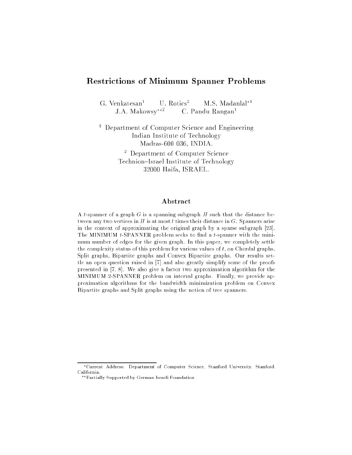# Restrictions of Minimum Spanner Problems

G. Venkatesan<sup>1</sup> U. Rotics<sup>2</sup> M.S. Madanlal<sup>\*1</sup> J.A. Makowsy<sup>\*\*2</sup> C. Pandu Rangan<sup>1</sup>

<sup>1</sup> Department of Computer Science and Engineering Indian Institute of Technology Madras-600 036, INDIA.

> <sup>2</sup> Department of Computer Science Technion-Israel Institute of Technology 32000 Haifa, ISRAEL.

## Abstract

A t-spanner of a graph  $G$  is a spanning subgraph  $H$  such that the distance between any two vertices in  $H$  is at most  $t$  times their distance in  $G$ . Spanners arise in the context of approximating the original graph by a sparse subgraph [23]. The MINIMUM  $t$ -SPANNER problem seeks to find a  $t$ -spanner with the minimum number of edges for the given graph. In this paper, we completely settle the complexity status of this problem for various values of  $t$ , on Chordal graphs, Split graphs, Bipartite graphs and Convex Bipartite graphs. Our results settle an open question raised in [7] and also greatly simplify some of the proofs presented in [7, 8]. We also give a factor two approximation algorithm for the MINIMUM 2-SPANNER problem on interval graphs. Finally, we provide approximation algorithms for the bandwidth minimization problem on Convex Bipartite graphs and Split graphs using the notion of tree spanners.

<sup>?</sup>Current Address: Department of Computer Science, Stanford University, Stanford, California.

<sup>??</sup>Partially Supported by German Israeli Foundation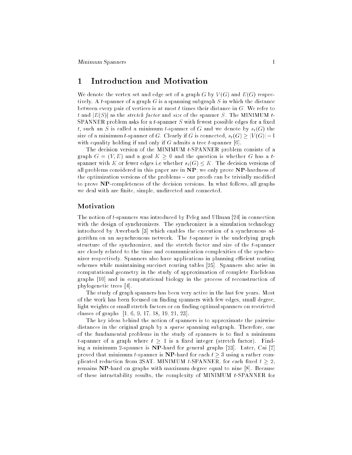#### 1 Introduction and Motivation  $\mathbf 1$

We denote the vertex set and edge set of a graph G by  $V(G)$  and  $E(G)$  respectively. A t-spanner of a graph  $G$  is a spanning subgraph  $S$  in which the distance between every pair of vertices is at most  $t$  times their distance in  $G$ . We refer to t and  $|E(S)|$  as the *stretch factor* and *size* of the spanner S. The MINIMUM t-SPANNER problem asks for a  $t$ -spanner  $S$  with fewest possible edges for a fixed t, such an S is called a minimum t-spanner of G and we denote by  $s_t(G)$  the size of a minimum t-spanner of G. Clearly if G is connected,  $s_t(G) \geq |V(G)|-1$ with equality holding if and only if  $G$  admits a tree  $t$ -spanner [6].

The decision version of the MINIMUM t-SPANNER problem consists of a graph  $G = (V, E)$  and a goal  $K \geq 0$  and the question is whether G has a tspanner with K or fewer edges i.e whether  $s_t(G) \leq K$ . The decision versions of all problems considered in this paper are in NP; we only prove NP-hardness of the optimization versions of the problems - our proofs can be trivially modified to prove NP-completeness of the decision versions. In what follows, all graphs we deal with are finite, simple, undirected and connected.

### Motivation

The notion of t-spanners was introduced by Peleg and Ullman [24] in connection with the design of synchronizers. The synchronizer is a simulation technology introduced by Awerbuch [3] which enables the execution of a synchronous algorithm on an asynchronous network. The t-spanner is the underlying graph structure of the synchronizer, and the stretch factor and size of the t-spanner are closely related to the time and communication complexities of the synchronizer respectively. Spanners also have applications in planning efficient routing schemes while maintaining succinct routing tables [25]. Spanners also arise in computational geometry in the study of approximation of complete Euclidean graphs [10] and in computational biology in the process of reconstruction of phylogenetic trees [4].

The study of graph spanners has been very active in the last few years. Most of the work has been focused on nding spanners with few edges, small degree, light weights or small stretch factors or on finding optimal spanners on restricted classes of graphs [1, 6, 9, 17, 18, 19, 21, 23].

The key ideas behind the notion of spanners is to approximate the pairwise distances in the original graph by a *sparse* spanning subgraph. Therefore, one of the fundamental problems in the study of spanners is to find a minimum *t*-spanner of a graph where  $t \geq 1$  is a fixed integer (stretch factor). Finding a minimum 2-spanner is NP-hard for general graphs [23]. Later, Cai [7] proved that minimum t-spanner is  $NP$ -hard for each  $t > 3$  using a rather complicated reduction from 3SAT. MINIMUM t-SPANNER, for each fixed  $t \geq 2$ , remains NP-hard on graphs with maximum degree equal to nine [8]. Because of these intractability results, the complexity of MINIMUM t-SPANNER for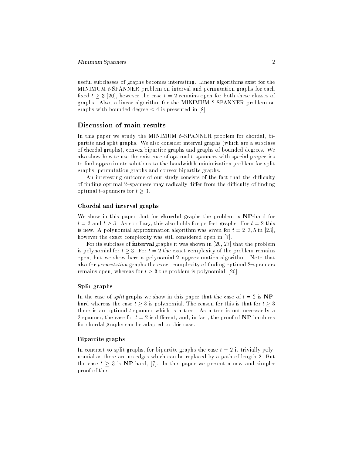useful subclasses of graphs becomes interesting. Linear algorithms exist for the MINIMUM t-SPANNER problem on interval and permutation graphs for each fixed  $t > 3$  [20], however the case  $t = 2$  remains open for both these classes of graphs. Also, a linear algorithm for the MINIMUM 2-SPANNER problem on graphs with bounded degree  $\leq 4$  is presented in [8].

### Discussion of main results

In this paper we study the MINIMUM  $t$ -SPANNER problem for chordal, bipartite and split graphs. We also consider interval graphs (which are a subclass of chordal graphs), convex bipartite graphs and graphs of bounded degrees. We also show how to use the existence of optimal  $t$ -spanners with special properties to find approximate solutions to the bandwidth minimization problem for split graphs, permutation graphs and convex bipartite graphs.

An interesting outcome of our study consists of the fact that the difficulty of finding optimal 2-spanners may radically differ from the difficulty of finding optimal t-spanners for  $t > 3$ .

#### Chordal and interval graphs

We show in this paper that for chordal graphs the problem is NP-hard for  $t = 2$  and  $t \geq 3$ . As corollary, this also holds for perfect graphs. For  $t = 2$  this is new. A polynomial approximation algorithm was given for  $t = 2, 3, 5$  in [23], however the exact complexity was still considered open in [7].

For its subclass of interval graphs it was shown in [20, 27] that the problem is polynomial for  $t \geq 3$ . For  $t = 2$  the exact complexity of the problem remains open, but we show here a polynomial 2-approximation algorithm. Note that also for  $permutation$  graphs the exact complexity of finding optimal 2-spanners remains open, whereas for  $t \geq 3$  the problem is polynomial, [20].

### Split graphs

In the case of *split* graphs we show in this paper that the case of  $t = 2$  is NPhard whereas the case  $t \geq 3$  is polynomial. The reason for this is that for  $t \geq 3$ there is an optimal t-spanner which is a tree. As a tree is not necessarily a 2-spanner, the case for  $t = 2$  is different, and, in fact, the proof of **NP**-hardness for chordal graphs can be adapted to this case.

### Bipartite graphs

In contrast to split graphs, for bipartite graphs the case  $t = 2$  is trivially polynomial as there are no edges which can be replaced by a path of length 2. But the case  $t \geq 3$  is NP-hard, [7]. In this paper we present a new and simpler proof of this.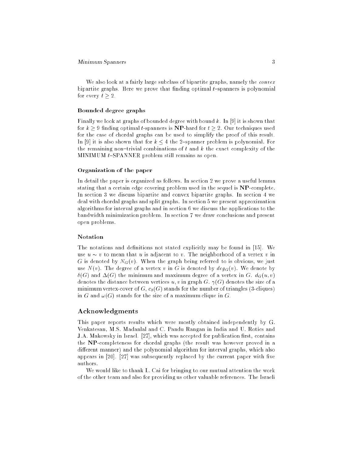We also look at a fairly large subclass of bipartite graphs, namely the *convex* bipartite graphs. Here we prove that finding optimal  $t$ -spanners is polynomial for every  $t > 2$ .

### Bounded degree graphs

Finally we look at graphs of bounded degree with bound k. In [9] it is shown that for  $k \geq 9$  finding optimal t-spanners is **NP**-hard for  $t \geq 2$ . Our techniques used for the case of chordal graphs can be used to simplify the proof of this result. In [9] it is also shown that for  $k \leq 4$  the 2-spanner problem is polynomial. For the remaining non-trivial combinations of t and  $k$  the exact complexity of the MINIMUM  $t$ -SPANNER problem still remains as open.

### Organization of the paper

In detail the paper is organized as follows. In section 2 we prove a useful lemma stating that a certain edge covering problem used in the sequel is NP-complete. In section 3 we discuss bipartite and convex bipartite graphs. In section 4 we deal with chordal graphs and split graphs. In section 5 we present approximation algorithms for interval graphs and in section 6 we discuss the applications to the bandwidth minimization problem. In section 7 we draw conclusions and present open problems.

#### Notation

The notations and definitions not stated explicitly may be found in [15]. We use  $u \sim v$  to mean that u is adjacent to v. The neighborhood of a vertex v in G is denoted by  $N_G(v)$ . When the graph being referred to is obvious, we just use  $N(v)$ . The degree of a vertex v in G is denoted by  $deg_G(v)$ . We denote by  $\delta(G)$  and  $\Delta(G)$  the minimum and maximum degree of a vertex in G.  $d_G(u, v)$ denotes the distance between vertices  $u, v$  in graph G.  $\gamma(G)$  denotes the size of a minimum vertex-cover of  $G, c_3(G)$  stands for the number of triangles (3-cliques) in G and  $\omega(G)$  stands for the size of a maximum clique in G.

### Acknowledgments

This paper reports results which were mostly obtained independently by G. Venkatesan, M.S. Madanlal and C. Pandu Rangan in India and U. Rotics and J.A. Makowsky in Israel. [27], which was accepted for publication first, contains the NP-completeness for chordal graphs (the result was however proved in a different manner) and the polynomial algorithm for interval graphs, which also appears in  $[20]$ .  $[27]$  was subsequently replaced by the current paper with five authors.

We would like to thank L. Cai for bringing to our mutual attention the work of the other team and also for providing us other valuable references. The Israeli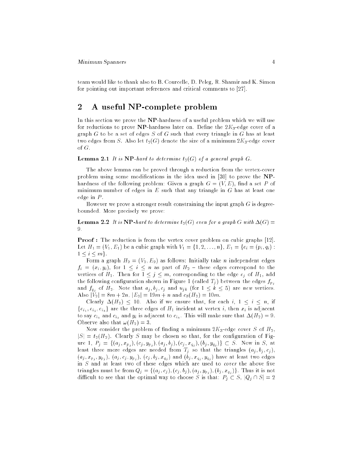team would like to thank also to B. Courcelle, D. Peleg, R. Shamir and K. Simon for pointing out important references and critical comments to [27].

#### $\overline{2}$ A useful NP-complete problem

In this section we prove the NP-hardness of a useful problem which we will use for reductions to prove NP-hardness later on. Define the  $2K_3$ -edge cover of a graph  $G$  to be a set of edges  $S$  of  $G$  such that every triangle in  $G$  has at least two edges from S. Also let  $t_2(G)$  denote the size of a minimum  $2K_3$ -edge cover of G.

### **Lemma 2.1** It is NP-hard to determine  $t_2(G)$  of a general graph G.

The above lemma can be proved through a reduction from the vertex-cover problem using some modifications in the idea used in [30] to prove the NPhardness of the following problem: Given a graph  $G = (V, E)$ , find a set P of minimum number of edges in  $E$  such that any triangle in  $G$  has at least one edge in  $P$ .

However we prove a stronger result constraining the input graph  $G$  is degreebounded. More precisely we prove:

**Lemma 2.2** It is NP-hard to determine  $t_2(G)$  even for a graph G with  $\Delta(G)$  = 9.

Proof : The reduction is from the vertex cover problem on cubic graphs [12]. Let  $H_1 = (V_1, E_1)$  be a cubic graph with  $V_1 = \{1, 2, ..., n\}, E_1 = \{e_i = (p_i, q_i)$ :  $1 \leq i \leq m$ .

Form a graph  $H_2 = (V_2, E_2)$  as follows: Initially take *n* independent edges  $f_i = (x_i, y_i)$ , for  $1 \leq i \leq n$  as part of  $H_2$  – these edges correspond to the vertices of  $H_1$ . Then for  $1 \leq j \leq m$ , corresponding to the edge  $e_j$  of  $H_1$ , add the following configuration shown in Figure 1 (called  $T_j$ ) between the edges  $f_{p_j}$ and  $f_{q_j}$  of  $H_2$ . Note that  $a_j, b_j, c_j$  and  $u_{jk}$  (for  $1 \leq k \leq 5$ ) are new vertices. Also  $|V_2| = 8m + 2n$ ,  $|E_2| = 19m + n$  and  $c_3(H_2) = 10m$ .

Clearly  $\Delta(H_2) \leq 10$ . Also if we ensure that, for each i,  $1 \leq i \leq n$ , if  ${e_i, e_i, e_i}$  are the three edges of  $H_1$  incident at vertex i, then  $x_i$  is adjacent to say  $c_{i_1}$  and  $c_{i_2}$  and  $y_i$  is adjacent to  $c_{i_3}$ . This will make sure that  $\Delta(H_2) = 9$ . Observe also that  $\omega(H_2) = 3$ .

Now consider the problem of finding a minimum  $2K_3$ -edge cover S of  $H_2$ ,  $|S| = t_2(H_2)$ . Clearly S may be chosen so that, for the configuration of Figure 1,  $P_j = \{(a_j, x_{p_j}), (c_j, y_{p_j}), (a_j, b_j), (c_j, x_{q_j}), (b_j, y_{q_j})\} \subset S$ . Now in S, at least three more edges are needed from  $T_j$  so that the triangles  $(a_j, b_j, c_j)$ , (aj ; xpj ; ypj ), (aj ; cj ; ypj ), (cj ; bj ; xqj ) and (bj ; xqj ; yqj ) have at least two edges in  $S$  and at least two of these edges which are used to *cover* the above five triangles must be from  $Q_j = \{(a_j, c_j), (c_j, b_j), (a_j, y_{p_j}), (b_j, x_{q_j})\}$ . Thus it is not difficult to see that the optimal way to choose S is that:  $P_j \subset S$ ,  $|Q_j \cap S| = 2$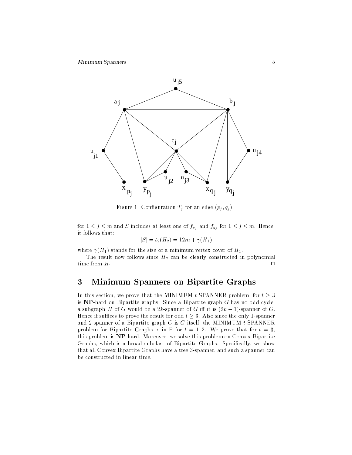

Figure 1: Configuration  $T_j$  for an edge  $(p_j, q_j)$ .

for 1  $j$   $j$   $j$   $j$  and  $k$  includes at least one of  $f$   $f$   $f$  and  $f$   $f$ it follows that:

$$
|S| = t_2(H_2) = 12m + \gamma(H_1)
$$

where  $\gamma(H_1)$  stands for the size of a minimum vertex cover of  $H_1$ .

The result now follows since  $H_2$  can be clearly constructed in polynomial time from  $H_1$ .  $\Box$ 

# 3 Minimum Spanners on Bipartite Graphs

In this section, we prove that the MINIMUM t-SPANNER problem, for  $t > 3$ is NP-hard on Bipartite graphs. Since a Bipartite graph G has no odd cycle, a subgraph H of G would be a 2k-spanner of G iff it is  $(2k - 1)$ -spanner of G. Hence if suffices to prove the result for odd  $t \geq 3$ . Also since the only 1-spanner and 2-spanner of a Bipartite graph  $G$  is  $G$  itself, the MINIMUM t-SPANNER problem for Bipartite Graphs is in P for  $t = 1, 2$ . We prove that for  $t = 3$ , this problem is NP-hard. Moreover, we solve this problem on Convex Bipartite Graphs, which is a broad subclass of Bipartite Graphs. Specically, we show that all Convex Bipartite Graphs have a tree 3-spanner, and such a spanner can be constructed in linear time.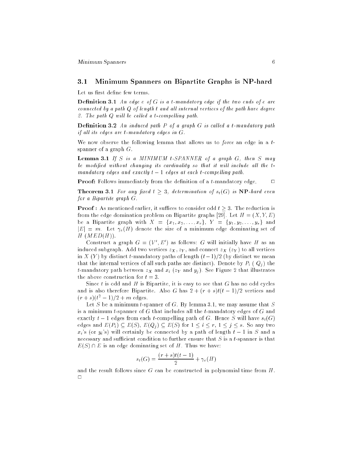#### $3.1$ 3.1 Minimum Spanners on Bipartite Graphs is NP-hard

Let us first define few terms.

**Definition 3.1** An edge  $e$  of  $G$  is a t-mandatory edge if the two ends of  $e$  are connected by a path  $Q$  of length  $t$  and all internal vertices of the path have degree 2. The path  $Q$  will be called a t-compelling path.

**Definition 3.2** An induced path  $P$  of a graph  $G$  is called a t-mandatory path if all its edges are  $t$ -mandatory edges in  $G$ .

We now observe the following lemma that allows us to *force* an edge in a  $t$ spanner of a graph  $G$ .

**Lemma 3.1** If S is a MINIMUM t-SPANNER of a graph  $G$ , then  $S$  may be modified without changing its cardinality so that it will include all the  $t$ mandatory edges and exactly  $t-1$  edges at each t-compelling path.

**Proof:** Follows immediately from the definition of a  $t$ -mandatory edge.  $\Box$ 

**Theorem 3.1** For any fixed  $t \geq 3$ , determination of  $s_t(G)$  is  $NP$ -hard even for a Bipartite graph G.

**Proof**: As mentioned earlier, it suffices to consider odd  $t > 3$ . The reduction is from the edge domination problem on Bipartite graphs [29]. Let  $H = (X, Y, E)$ be a Bipartite graph with  $X = \{x_1, x_2, ..., x_r\}, Y = \{y_1, y_2, ..., y_s\}$  and  $|E| = m$ . Let  $\gamma_e(H)$  denote the size of a minimum edge dominating set of  $H$   $(MED(H))$ .

Construct a graph  $G = (V, E)$  as follows: G will initially nave H as an induced subgraph. Add two vertices  $z_X, z_Y$ , and connect  $z_X$  ( $z_Y$ ) to all vertices in X (Y) by distinct t-mandatory paths of length  $(t-1)/2$  (by distinct we mean that the internal vertices of all such paths are distinct). Denote by  $P_i$  ( $Q_i$ ) the t-mandatory path between  $z_X$  and  $x_i$  ( $z_Y$  and  $y_i$ ). See Figure 2 that illustrates the above construction for  $t=3$ .

Since  $t$  is odd and  $H$  is Bipartite, it is easy to see that  $G$  has no odd cycles and is also therefore Bipartite. Also G has  $2 + (r + s)t(t - 1)/2$  vertices and  $(r + s)(t^2 - 1)/2 + m$  edges.

Let S be a minimum t-spanner of G. By lemma 3.1, we may assume that S is a minimum t-spanner of  $G$  that includes all the t-mandatory edges of  $G$  and exactly  $t-1$  edges from each t-compelling path of G. Hence S will have  $s_t(G)$ edges and  $E(P_i) \subseteq E(S)$ ,  $E(Q_i) \subseteq E(S)$  for  $1 \leq i \leq r, 1 \leq j \leq s$ . So any two  $x_i$ 's (or  $y_i$ 's) will certainly be connected by a path of length  $t-1$  in S and a necessary and sufficient condition to further ensure that  $S$  is a t-spanner is that  $E(S) \cap E$  is an edge dominating set of H. Thus we have:

$$
s_t(G) = \frac{(r+s)t(t-1)}{2} + \gamma_e(H)
$$

and the result follows since G can be constructed in polynomial time from H.  $\Box$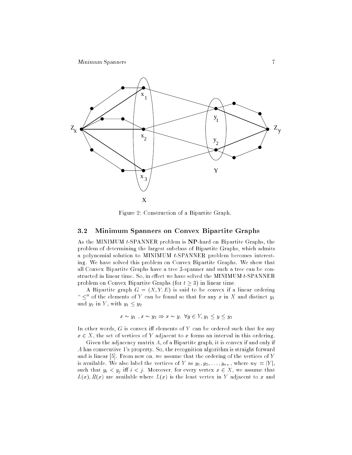

Figure 2: Construction of a Bipartite Graph.

# 3.2 Minimum Spanners on Convex Bipartite Graphs

As the MINIMUM t-SPANNER problem is NP-hard on Bipartite Graphs, the problem of determining the largest subclass of Bipartite Graphs, which admits a polynomial solution to MINIMUM t-SPANNER problem becomes interesting. We have solved this problem on Convex Bipartite Graphs. We show that all Convex Bipartite Graphs have a tree 3-spanner and such a tree can be constructed in linear time. So, in effect we have solved the MINIMUM  $t$ -SPANNER problem on Convex Bipartite Graphs (for  $t \geq 3$ ) in linear time.

A Bipartite graph  $G = (X, Y, E)$  is said to be convex if a linear ordering " $\leq$ " of the elements of Y can be found so that for any x in X and distinct  $y_1$ and  $y_2$  in Y, with  $y_1 \le y_2$ 

$$
x \sim y_1, x \sim y_2 \Rightarrow x \sim y, \ \forall y \in Y, y_1 \le y \le y_2
$$

In other words,  $G$  is convex iff elements of  $Y$  can be ordered such that for any  $x \in X$ , the set of vertices of Y adjacent to x forms an interval in this ordering.

Given the adjacency matrix A, of a Bipartite graph, it is convex if and only if A has consecutive 1's property. So, the recognition algorithm is straight forward and is linear [5]. From now on, we assume that the ordering of the vertices of Y is available. We also label the vertices of Y as  $y_1, y_2, \ldots, y_{n_Y}$ , where  $n_Y = |Y|$ , such that  $y_i < y_j$  iff  $i < j$ . Moreover, for every vertex  $x \in X$ , we assume that  $L(x)$ ,  $R(x)$  are available where  $L(x)$  is the least vertex in Y adjacent to x and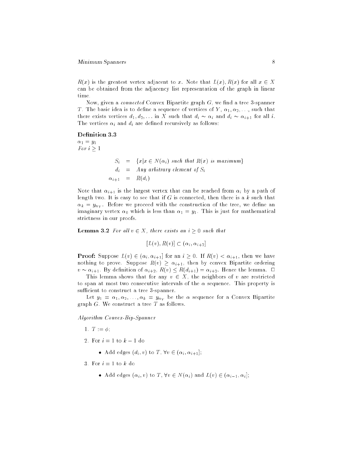#### Minimum Spanners 8

 $R(x)$  is the greatest vertex adjacent to x. Note that  $L(x)$ ,  $R(x)$  for all  $x \in X$ can be obtained from the adjacency list representation of the graph in linear time.

Now, given a *connected* Convex Bipartite graph  $G$ , we find a tree 3-spanner T. The basic idea is to define a sequence of vertices of Y,  $\alpha_1, \alpha_2, \ldots$ , such that there exists vertices  $d_1, d_2, \ldots$  in X such that  $d_i \sim \alpha_i$  and  $d_i \sim \alpha_{i+1}$  for all i. The vertices  $\alpha_i$  and  $d_i$  are defined recursively as follows:

#### Definition 3.3

 $\alpha_1 = y_1$ For  $i \geq 1$ 

$$
S_i = \{x | x \in N(\alpha_i) \text{ such that } R(x) \text{ is maximum} \}
$$
  

$$
d_i = Any arbitrary element of S_i
$$
  

$$
\alpha_{i+1} = R(d_i)
$$

Note that  $\alpha_{i+1}$  is the largest vertex that can be reached from  $\alpha_i$  by a path of length two. It is easy to see that if  $G$  is connected, then there is a  $k$  such that  $\alpha_k = y_{n_Y}$ . Before we proceed with the construction of the tree, we define an imaginary vertex  $\alpha_0$  which is less than  $\alpha_1 = y_1$ . This is just for mathematical strictness in our proofs.

**Lemma 3.2** For all  $v \in X$ , there exists an  $i \geq 0$  such that

 $[L(v), R(v)] \subset (\alpha_i, \alpha_{i+2}]$ 

**Proof:** Suppose  $L(v) \in (\alpha_i, \alpha_{i+1}]$  for an  $i \geq 0$ . If  $R(v) < \alpha_{i+1}$ , then we have nothing to prove. Suppose  $R(v) \geq \alpha_{i+1}$ , then by convex Bipartite ordering  $v \sim \alpha_{i+1}$ . By definition of  $\alpha_{i+2}$ ,  $R(v) \leq R(d_{i+1}) = \alpha_{i+2}$ . Hence the lemma.  $\Box$ 

This lemma shows that for any  $v \in X$ , the neighbors of v are restricted to span at most two consecutive intervals of the  $\alpha$  sequence. This property is sufficient to construct a tree 3-spanner.

Let  $y_1 = \alpha_1, \alpha_2, \ldots, \alpha_k = y_{n_k}$  be the  $\alpha$  sequence for a Convex Bipartite graph  $G$ . We construct a tree  $T$  as follows.

Algorithm Convex-Bip-Spanner

- 1.  $T := \phi$ ;
- 2. For  $i = 1$  to  $k 1$  do
	- $A = \begin{bmatrix} 1 & 0 & 0 \\ 0 & 1 & 0 \\ 0 & 0 & 0 \end{bmatrix}$ ;  $A = \begin{bmatrix} 1 & 0 & 0 \\ 0 & 1 & 0 \\ 0 & 0 & 0 \end{bmatrix}$ ;  $A = \begin{bmatrix} 1 & 0 & 0 \\ 0 & 1 & 0 \\ 0 & 0 & 0 \end{bmatrix}$

3. For  $i=1$  to  $k$  do

Add each entry  $\{x_i\}$  ,  $i: i \in \mathbb{N}$  ,  $i: i \in \mathbb{N}$  ,  $i: i \in \mathbb{N}$  ,  $i: i \in \mathbb{N}$  is a set of  $i$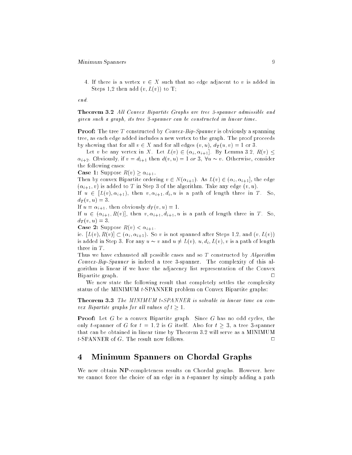4. If there is a vertex  $v \in X$  such that no edge adjacent to v is added in Steps 1,2 then add  $(v, L(v))$  to T;

end.

**Theorem 3.2** All Convex Bipartite Graphs are tree 3-spanner admissible and given such a graph, its tree 3-spanner can be constructed in linear time.

**Proof:** The tree T constructed by *Convex-Bip-Spanner* is obviously a spanning tree, as each edge added includes a new vertex to the graph. The proof proceeds by showing that for all  $v \in X$  and for all edges  $(v, u)$ ,  $d_T(u, v) = 1$  or 3.

Let v be any vertex in X. Let  $L(v) \in (\alpha_i, \alpha_{i+1}]$ . By Lemma 3.2,  $R(v) \leq$  $\alpha_{i+2}$ . Obviously, if  $v = d_{i+1}$  then  $d(v, u) = 1$  or 3,  $\forall u \sim v$ . Otherwise, consider the following cases:

**Case 1:** Suppose  $R(v) > \alpha_{i+1}$ .

Then by convex Bipartite ordering  $v \in N(\alpha_{i+1})$ . As  $L(v) \in (\alpha_i, \alpha_{i+1}]$ , the edge  $(\alpha_{i+1}, v)$  is added to T in Step 3 of the algorithm. Take any edge  $(v, u)$ .

If  $u \in [L(v), \alpha_{i+1}),$  then  $v, \alpha_{i+1}, d_i, u$  is a path of length three in T. So,  $d_T(v, u) = 3.$ 

If  $u = \alpha_{i+1}$ , then obviously  $d_T (v, u) = 1$ .

If  $u \in (\alpha_{i+1}, R(v))$ , then  $v, \alpha_{i+1}, d_{i+1}, u$  is a path of length three in T. So,  $d_T(v, u) = 3.$ 

**Case 2:** Suppose  $R(v) < \alpha_{i+1}$ .

ie.  $[L(v), R(v)] \subset (\alpha_i, \alpha_{i+1})$ . So v is not spanned after Steps 1,2, and  $(v, L(v))$ is added in Step 3. For any  $u \sim v$  and  $u \neq L(v)$ ,  $u, d_i, L(v)$ , v is a path of length three in  $T$ .

Thus we have exhausted all possible cases and so  $T$  constructed by  $Algorithm$ Convex-Bip-Spanner is indeed a tree 3-spanner. The complexity of this algorithm is linear if we have the adjacency list representation of the Convex Bipartite graph. <sup>2</sup>  $\Box$ 

We now state the following result that completely settles the complexity status of the MINIMUM t-SPANNER problem on Convex Bipartite graphs:

Theorem 3.3 The MINIMUM t-SPANNER is solvable in linear time on convex Bipartite graphs for all values of  $t \geq 1$ .

Proof: Let G be a convex Bipartite graph. Since G has no odd cycles, the only t-spanner of G for  $t = 1, 2$  is G itself. Also for  $t \geq 3$ , a tree 3-spanner that can be obtained in linear time by Theorem 3.2 will serve as a MINIMUM  $t$ -SPANNER of  $G$ . The result now follows.  $\Box$ 

# 4 Minimum Spanners on Chordal Graphs

We now obtain NP-completeness results on Chordal graphs. However, here we cannot force the choice of an edge in a t-spanner by simply adding a path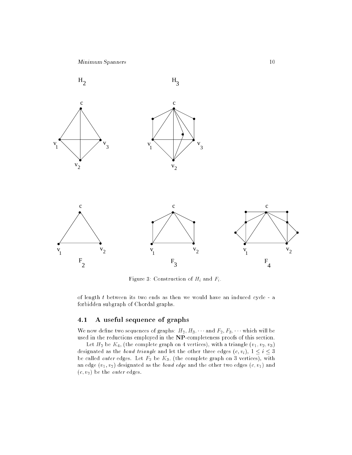

Figure 3: Construction of  $H_i$  and  $F_i$ .

of length  $t$  between its two ends as then we would have an induced cycle - a forbidden subgraph of Chordal graphs.

# 4.1 A useful sequence of graphs

We now define two sequences of graphs:  $H_2, H_3, \cdots$  and  $F_2, F_3, \cdots$  which will be used in the reductions employed in the NP-completeness proofs of this section.

Let  $H_2$  be  $K_4$ , (the complete graph on 4 vertices), with a triangle  $(v_1, v_2, v_3)$ designated as the bond triangle and let the other three edges  $(c, v_i)$ ,  $1 \le i \le 3$ be called *outer* edges. Let  $F_2$  be  $K_3$ , (the complete graph on 3 vertices), with an edge  $(v_1, v_2)$  designated as the *bond edge* and the other two edges  $(c, v_1)$  and  $(c, v_2)$  be the *outer* edges.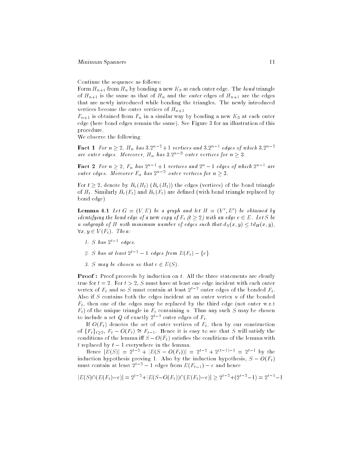Continue the sequence as follows:

Form  $H_{n+1}$  from  $H_n$  by bonding a new  $K_3$  at each outer edge. The bond triangle of  $H_{n+1}$  is the same as that of  $H_n$  and the *outer* edges of  $H_{n+1}$  are the edges that are newly introduced while bonding the triangles. The newly introduced vertices become the outer vertices of  $H_{n+1}$ .

 $F_{n+1}$  is obtained from  $F_n$  in a similar way by bonding a new  $K_3$  at each outer edge (here bond edges remain the same). See Figure 3 for an illustration of this procedure.

We observe the following:

**Fact 1** For  $n > 2$ ,  $H_n$  has  $3.2^n - + 1$  vertices and  $3.2^n -$  eages of which  $3.2^n$ are outer eages. Moreover,  $H_n$  has 3.2  $\degree$  outer vertices for  $n > 3$ .

**Fact** 2 for  $n > 2$ ,  $r_n$  has  $2^n - + 1$  vertices and  $2^n - 1$  eages of which  $2^n - 1$ outer eages. Moreover  $F_n$  has  $2^n$  = outer vertices for  $n \geq 3$ .

For  $t > 2$ , denote by  $B_e(H_t)$   $(B_u(H_t))$  the edges (vertices) of the bond triangle of  $H_t$ . Similarly  $B_e(F_t)$  and  $B_v(F_t)$  are defined (with bond triangle replaced by bond edge)

**Lemma 4.1** Let  $G = (V, E)$  be a graph and let  $H = (V, E)$  be obtained by identifying the bond edge of a new copy of  $F_t$  (t  $\geq 2$ ) with an edge  $e \in E$ . Let S be a subgraph of H with minimum number of edges such that  $d_S(x, y) \leq td_H(x, y)$ ,  $\forall x, y \in V(F_t)$ . Then:

- 1.  $\supset$  nas  $2^*$  = eages.
- 2. S has at least  $2^{t-1} 1$  edges from  $E(F_t) \{e\}.$
- 3. S may be chosen so that  $e \in E(S)$ .

**Proof**: Proof proceeds by induction on t. All the three statements are clearly true for  $t = 2$ . For  $t > 2$ , S must have at least one edge incident with each outer vertex of  $F_t$  and so S must contain at least  $Z^*$  = outer edges of the bonded  $F_t$ . Also if  $S$  contains both the edges incident at an outer vertex  $u$  of the bonded  $F_t$ , then one of the edges may be replaced by the third edge (not outer w.r.t  $F_t$ ) of the unique triangle in  $F_t$  containing u. Thus any such S may be chosen to include a set  $Q$  of exactly  $2^+$  2 outer edges of  $r_t$ .

If  $O(F_t)$  denotes the set of outer vertices of  $F_t$ , then by our construction of  ${F_t}_{t\geq 2}$ ,  $F_t - O(F_t) \cong F_{t-1}$ . Hence it is easy to see that S will satisfy the conditions of the lemma iff  $S - O(F_t)$  satisfies the conditions of the lemma with t replaced by  $t - 1$  everywhere in the lemma.

Hence  $|E(S)| = 2t + |E(S - O(F_t))| = 2t + 2(t+1)$  = 2t1 by the induction hypothesis proving 1. Also by the induction hypothesis,  $S - O(F_t)$ must contain at least  $2^{t-2} - 1$  edges from  $E(F_{t-1}) - e$  and hence

$$
|E(S) \cap (E(F_t) - e)| = 2^{t-2} + |E(S - O(F_t)) \cap (E(F_t) - e)| \ge 2^{t-2} + (2^{t-2} - 1) = 2^{t-1} - 1
$$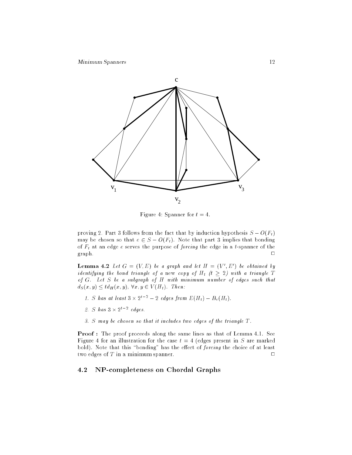

Figure 4: Spanner for  $t = 4$ .

proving 2. Part 3 follows from the fact that by induction hypothesis  $S - O(F_t)$ may be chosen so that  $e \in S - O(F_t)$ . Note that part 3 implies that bonding of  $F_t$  at an edge e serves the purpose of forcing the edge in a t-spanner of the  $\mathcal{A}$  and  $\mathcal{A}$  are  $\mathcal{A}$ .

**Lemma 4.2** Let  $G = (V, E)$  be a graph and let  $H = (V, E)$  be obtained by identifying the bond triangle of a new copy of  $H_t$  (t  $\geq 2$ ) with a triangle T of G. Let S be a subgraph of H with minimum number of edges such that  $d_S(x, y) \leq t d_H(x, y)$ ,  $\forall x, y \in V(H_t)$ . Then:

- 1. S has at least  $3 \times 2^+ = 2$  eages from  $E(H_t) = B_e(H_t)$ .
- 2. S has 3 2t2 edges.
- 3.  $S$  may be chosen so that it includes two edges of the triangle  $T$ .

Proof : The proof proceeds along the same lines as that of Lemma 4.1. See Figure 4 for an illustration for the case  $t = 4$  (edges present in S are marked bold). Note that this "bonding" has the effect of  $forcing$  the choice of at least two edges of  $T$  in a minimum spanner.

## 4.2 NP-completeness on Chordal Graphs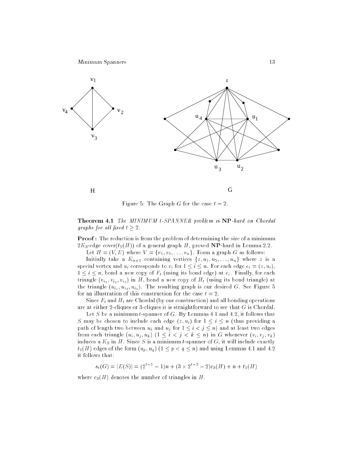

Figure 5: The Graph G for the case  $t = 2$ .

Theorem 4.1 The MINIMUM t-SPANNER problem is NP-hard on Chordal graphs for all fixed  $t \geq 2$ .

Proof : The reduction is from the problem of determining the size of a minimum  $2K_3$ -edge cover( $t_2(H)$ ) of a general graph H, proved NP-hard in Lemma 2.2.

Let  $H = (V, E)$  where  $V = \{v_1, v_2, \ldots, v_n\}$ . Form a graph G as follows: Initially take a  $K_{n+1}$  containing vertices  $\{z, u_1, u_2, \ldots, u_n\}$  where z is a special vertex and  $u_i$  corresponds to  $v_i$  for  $1 \le i \le n$ . For each edge  $e_i = (z, u_i)$ ,  $1 \leq i \leq n$ , bond a new copy of  $F_t$  (using its bond edge) at  $e_i$ . Finally, for each triangle  $(v_{i_1}, v_{i_2}, v_{i_3})$  in H, bond a new copy of  $H_t$  (using its bond triangle) at the triangle  $(u_{i_1}, u_{i_2}, u_{i_3})$ . The resulting graph is our desired G. See Figure 5

for an illustration of this construction for the case  $t = 2$ . Since  $F_t$  and  $H_t$  are Chordal (by our construction) and all bonding operations are at either 2-cliques or 3-cliques it is straightforward to see that G is Chordal.

Let S be a minimum t-spanner of G. By Lemmas 4.1 and 4.2, it follows that S may be chosen to include each edge  $(z, u_i)$  for  $1 \le i \le n$  (thus providing a path of length two between  $u_i$  and  $u_j$  for  $1 \leq i < j \leq n$ ) and at least two edges from each triangle  $(u_i, u_j, u_k)$   $(1 \leq i < j < k \leq n)$  in G whenever  $(v_i, v_j, v_k)$ induces a  $K_3$  in H. Since S is a minimum t-spanner of  $G$ , it will include exactly  $t_2(H)$  edges of the form  $(u_p, u_q)$   $(1 \leq p < q \leq n)$  and using Lemmas 4.1 and 4.2 it follows that:

 $s_t(G) = |E(S)| = (2 \cdot 1 - 1)n + (3 \times 2 \cdot 1 - 2)c_3(H) + n + t_2(H)$ 

where  $c_3(H)$  denotes the number of triangles in H.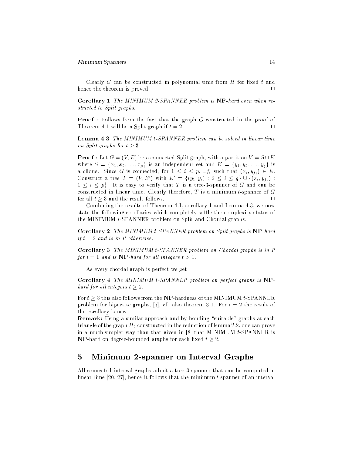Clearly  $G$  can be constructed in polynomial time from  $H$  for fixed  $t$  and hence the theorem is proved.  $\Box$ 

Corollary 1 The MINIMUM 2-SPANNER problem is NP-hard even when restricted to Split graphs.

**Proof**: Follows from the fact that the graph G constructed in the proof of Theorem 4.1 will be a Split graph if  $t = 2$ .  $\Box$ 

Lemma 4.3 The MINIMUM t-SPANNER problem can be solved in linear time on Split graphs for  $t \geq 3$ .

**Proof**: Let  $G = (V, E)$  be a connected Split graph, with a partition  $V = S \cup K$ where  $S = \{x_1, x_2, \ldots, x_p\}$  is an independent set and  $K = \{y_1, y_2, \ldots, y_q\}$  is a clique. Since G is connected, for  $1 \leq i \leq p$ ,  $\exists f_i$  such that  $(x_i, y_{f_i}) \in E$ . Construct a tree  $I = (V, E)$  with  $E = \{(y_1, y_i) : 2 \leq i \leq q\} \cup \{(x_i, y_{f_i}) : i \in I\}$  $1 \leq i \leq p$ . It is easy to verify that T is a tree-3-spanner of G and can be constructed in linear time. Clearly therefore,  $T$  is a minimum t-spanner of  $G$ for all  $t > 3$  and the result follows.  $\Box$ 

Combining the results of Theorem 4.1, corollary 1 and Lemma 4.3, we now state the following corollaries which completely settle the complexity status of the MINIMUM t-SPANNER problem on Split and Chordal graphs.

Corollary 2 The MINIMUM t-SPANNER problem on Split graphs is NP-hard if  $t = 2$  and is in P otherwise.

Corollary 3 The MINIMUM t-SPANNER problem on Chordal graphs is in P for  $t = 1$  and is  $\bf NP$ -hard for all integers  $t > 1$ .

As every chordal graph is perfect we get

Corollary 4 The MINIMUM t-SPANNER problem on perfect graphs is NPhard for all integers  $t \geq 2$ .

For  $t > 3$  this also follows from the NP-hardness of the MINIMUM t-SPANNER problem for bipartite graphs, [7], cf. also theorem 3.1. For  $t = 2$  the result of the corollary is new.

Remark: Using a similar approach and by bonding "suitable" graphs at each triangle of the graph  $H_2$  constructed in the reduction of lemma 2.2, one can prove in a much simpler way than that given in  $[8]$  that MINIMUM t-SPANNER is **NP**-hard on degree-bounded graphs for each fixed  $t \geq 2$ .

# 5 Minimum 2-spanner on Interval Graphs

All connected interval graphs admit a tree 3-spanner that can be computed in linear time [20, 27], hence it follows that the minimum t-spanner of an interval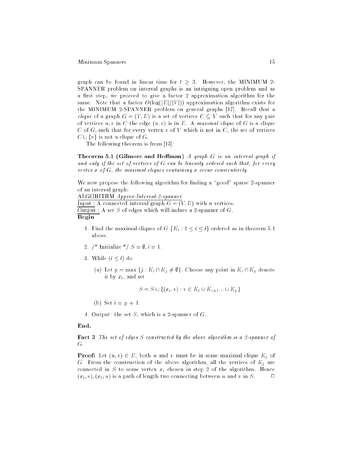graph can be found in linear time for  $t \geq 3$ . However, the MINIMUM 2-SPANNER problem on interval graphs is an intriguing open problem and as a first step, we proceed to give a factor 2 approximation algorithm for the same. Note that a factor  $O(\log(|E|/|V|))$  approximation algorithm exists for the MINIMUM 2-SPANNER problem on general graphs [17]. Recall that a *clique* of a graph  $G = (V, E)$  is a set of vertices  $C \subseteq V$  such that for any pair of vertices  $u, v$  in C the edge  $(u, v)$  is in E. A maximal clique of G is a clique C of G, such that for every vertex v of V which is not in C, the set of vertices  $C \cup \{v\}$  is not a clique of G.

The following theorem is from [13]:

**Theorem 5.1 (Gilmore and Hoffman)** A graph  $G$  is an interval graph if and only if the set of vertices of G can be linearly ordered such that, for every vertex  $x$  of  $G$ , the maximal cliques containing  $x$  occur consecutively.

We now propose the following algorithm for finding a "good" sparse 2-spanner of an interval graph:

ALGORITHM Approx-Interval-2-spanner

Input : A connected interval graph  $G = (V, E)$  with n vertices. Output : A set  $S$  of edges which will induce a 2-spanner of  $G$ . Begin

- 1. Find the maximal cliques of  $G\{K_i: 1 \leq i \leq l\}$  ordered as in theorem 5.1 above.
- 2. /\* Initialize \*/  $S = \emptyset, i = 1$ .
- 3. While  $(i \leq l)$  do
	- (a) Let  $p = max \{j : K_i \cap K_j \neq \emptyset\}$ . Choose any point in  $K_i \cap K_p$  denote it by  $x_i$ , and set

$$
S = S \cup \{(x_i, v) : v \in K_i \cup K_{i+1} \dots \cup K_p\}
$$

(b) Set  $i = p + 1$ .

4. Output: the set S, which is a 2-spanner of G.

#### End.

Fact 3 The set of edges S constructed by the above algorithm is a 2-spanner of G.

**Proof:** Let  $(u, v) \in E$ , both u and v must be in some maximal clique  $K_j$  of G. From the construction of the above algorithm, all the vertices of  $K_j$  are connected in  $S$  to some vertex  $x_i$  chosen in step 2 of the algorithm. Hence  $(x_i, v), (x_i, u)$  is a path of length two connecting between u and v in S.  $\Box$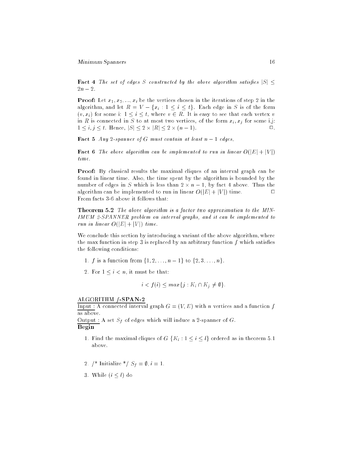**Fact 4** The set of edges S constructed by the above algorithm satisfies  $|S| \leq$  $2n-2$ .

**Proof:** Let  $x_1, x_2, ..., x_t$  be the vertices chosen in the iterations of step 2 in the algorithm, and let  $R = V - \{x_i : 1 \le i \le t\}$ . Each edge in S is of the form  $(v, x_i)$  for some i:  $1 \le i \le t$ , where  $v \in R$ . It is easy to see that each vertex v in R is connected in S to at most two vertices, of the form  $x_i, x_j$  for some i,j:  $\Box$ 1 i; j t. Hence, jSj 2 - jRj 2 - (n 1). 2.

**Fact 5** Any 2-spanner of G must contain at least  $n-1$  edges.

**Fact 6** The above algorithm can be implemented to run in linear  $O(|E| + |V|)$ time.

Proof: By classical results the maximal cliques of an interval graph can be found in linear time. Also, the time spent by the algorithm is bounded by the number of edges in S which is less than 2 - 1, by fact the company of the company of the company of the company algorithm can be implemented to run in linear  $O(|E| + |V|)$  time.  $\Box$ From facts 3-6 above it follows that:

Theorem 5.2 The above algorithm is a factor two approximation to the MIN-IMUM 2-SPANNER problem on interval graphs, and it can be implemented to run in linear  $O(|E| + |V|)$  time.

We conclude this section by introducing a variant of the above algorithm, where the max function in step 3 is replaced by an arbitrary function  $f$  which satisfies the following conditions:

- 1. f is a function from  $\{1, 2, \ldots, n-1\}$  to  $\{2, 3, \ldots, n\}$ .
- 2. For  $1 \leq i < n$ , it must be that:

$$
i < f(i) \leq \max\{j : K_i \cap K_j \neq \emptyset\}.
$$

#### ALGORITHM  $f$ -SPAN-2

Input : A connected interval graph  $G = (V, E)$  with n vertices and a function f as above.

Output : A set  $S_f$  of edges which will induce a 2-spanner of G.

### Begin

- 1. Find the maximal cliques of  $G\{K_i : 1 \leq i \leq l\}$  ordered as in theorem 5.1 above.
- 2. /\* Initialize \*/  $S_f = \emptyset$ ,  $i = 1$ .
- 3. While  $(i \leq l)$  do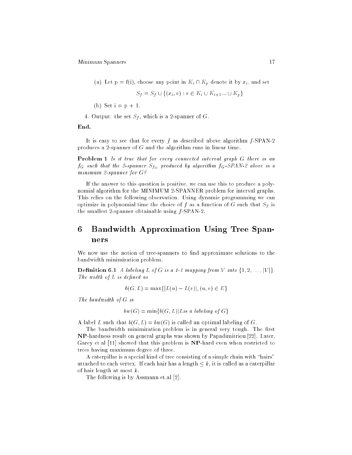(a) Let  $p = f(i)$ , choose any point in  $K_i \cap K_p$  denote it by  $x_i$ , and set

$$
S_t = S_t \cup \{(x_i, v) : v \in K_i \cup K_{i+1} \dots \cup K_p\}
$$

(b) Set  $i = p + 1$ .

4. Output: the set  $S_f$ , which is a 2-spanner of G.

End.

It is easy to see that for every f as described above algorithm  $f$ -SPAN-2 produces a 2-spanner of G and the algorithm runs in linear time.

Problem 1 Is it true that for every connected interval graph G there is an  $f_G$  such that the 2-spanner  $S_{f_G}$  produced by algorithm  $f_G$ -SPAN-2 above is a minimum 2-spanner for G?

If the answer to this question is positive, we can use this to produce a polynomial algorithm for the MINIMUM 2-SPANNER problem for interval graphs. This relies on the following observation. Using dynamic programming we can optimize in polynomial time the choice of f as a function of G such that  $S_f$  is the smallest 2-spanner obtainable using  $f$ -SPAN-2.

# 6 Bandwidth Approximation Using Tree Spanners

We now use the notion of tree-spanners to find approximate solutions to the bandwidth minimization problem.

**Definition 6.1** A labeling L of G is a 1-1 mapping from V into  $\{1, 2, \ldots, |V|\}$ . The width of  $L$  is defined as

$$
b(G, L) = \max\{|L(u) - L(v)|, (u, v) \in E\}
$$

The bandwidth of G is

$$
bw(G) = \min\{b(G, L)|L \text{ is a labeling of } G\}
$$

A label L such that  $b(G, L) = bw(G)$  is called an optimal labeling of G.

The bandwidth minimization problem is in general very tough. The first NP-hardness result on general graphs was shown by Papadimitriou [22]. Later, Garey et.al [11] showed that this problem is NP-hard even when restricted to trees having maximum degree of three.

A caterpillar is a special kind of tree consisting of a simple chain with "hairs" attached to each vertex. If each hair has a length  $\leq k$ , it is called as a caterpillar of hair length at most k.

The following is by Assmann et.al [2].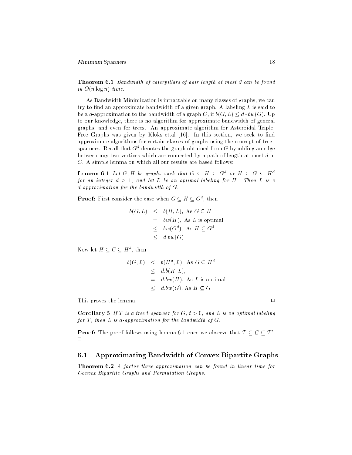Theorem 6.1 Bandwidth of caterpillars of hair length at most 2 can be found in  $O(n \log n)$  time.

As Bandwidth Minimization is intractable on many classes of graphs, we can try to find an approximate bandwidth of a given graph. A labeling  $L$  is said to be a d-approximation to the bandwidth of a graph G, if  $b(G, L) \leq d * bw(G)$ . Up to our knowledge, there is no algorithm for approximate bandwidth of general graphs, and even for trees. An approximate algorithm for Asteroidal Triple-Free Graphs was given by Kloks et al [16]. In this section, we seek to find approximate algorithms for certain classes of graphs using the concept of tree{  $s$ panners. Recall that  $G^\ast$  denotes the graph obtained from  $G$  by adding an edge between any two vertices which are connected by a path of length at most  $d$  in G. A simple lemma on which all our results are based follows:

**Lemma 6.1** Let G,  $H$  be graphs such that  $G \subseteq H \subseteq G^*$  or  $H \subseteq G \subseteq H^*$ for an integer  $d \geq 1$ , and let L be an optimal labeling for H. Then  $L$  is a d-approximation for the bandwidth of G.

**Proof:** First consider the case when  $G \subseteq H \subseteq G^*$ , then

$$
b(G, L) \leq b(H, L), \text{ As } G \subseteq H
$$
  
=  $bw(H)$ , As L is optimal  
 $\leq bw(G^d)$ , As  $H \subseteq G^d$   
 $< d.bw(G)$ 

Now let  $H \subseteq G \subseteq H^{\times}$ , then

$$
b(G, L) \leq b(H^d, L), \text{ As } G \subseteq H^d
$$
  
\n
$$
\leq d.b(H, L),
$$
  
\n
$$
= d.bw(H), \text{ As } L \text{ is optimal}
$$
  
\n
$$
< d.bw(G). \text{ As } H \subseteq G
$$

This proves the lemma.  $\Box$ 

**Corollary 5** If T is a tree t-spanner for  $G, t > 0$ , and L is an optimal labeling for  $T$ , then  $L$  is d-approximation for the bandwidth of  $G$ .

**Proof:** The proof follows using lemma 6.1 once we observe that  $I \subseteq G \subseteq I$ .  $\Box$ 

# 6.1 Approximating Bandwidth of Convex Bipartite Graphs

Theorem 6.2 A factor three approximation can be found in linear time for Convex Bipartite Graphs and Permutation Graphs.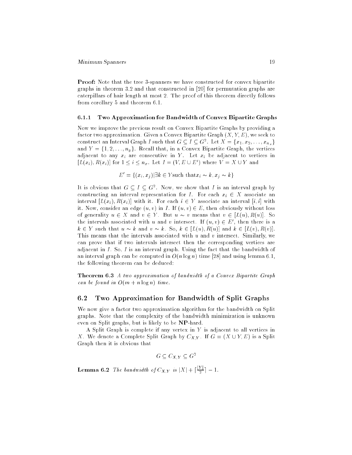Proof: Note that the tree 3-spanners we have constructed for convex bipartite graphs in theorem 3.2 and that constructed in [20] for permutation graphs are caterpillars of hair length at most 2. The proof of this theorem directly follows from corollary 5 and theorem 6.1.

#### 6.1.1 Two Approximation for Bandwidth of Convex Bipartite Graphs

Now we improve the previous result on Convex Bipartite Graphs by providing a factor two approximation. Given a Convex Bipartite Graph  $(X, Y, E)$ , we seek to construct an interval Graph I such that  $G \subseteq I \subseteq G^{\perp}$ . Let  $A = \{x_1, x_2, \ldots, x_{n_x}\}$ and  $Y = \{1, 2, \ldots, n_y\}$ . Recall that, in a Convex Bipartite Graph, the vertices adjacent to any  $x_i$  are consecutive in Y. Let  $x_i$  be adjacent to vertices in  $[L(x_i), K(x_i)]$  for  $1 \leq i \leq n_x$ . Let  $I = (V, E \cup E)$  where  $V = A \cup Y$  and

$$
E' = \{(x_i, x_j) | \exists k \in Y \text{such that } x_i \sim k, x_j \sim k\}
$$

It is obvious that  $G \subseteq I \subseteq G^*$ . Now, we show that I is an interval graph by constructing an interval representation for I. For each  $x_i \in X$  associate an interval  $[L(x_i), R(x_i)]$  with it. For each  $i \in Y$  associate an interval  $[i, i]$  with it. Now, consider an edge  $(u, v)$  in I. If  $(u, v) \in E$ , then obviously without loss of generality  $u \in X$  and  $v \in Y$ . But  $u \sim v$  means that  $v \in [L(u), R(u)]$ . So the intervals associated with u and v intersect. If  $(u, v) \in E$ , then there is a  $k \in Y$  such that  $u \sim k$  and  $v \sim k$ . So,  $k \in [L(u), R(u)]$  and  $k \in [L(v), R(v)]$ . This means that the intervals associated with  $u$  and  $v$  intersect. Similarly, we can prove that if two intervals intersect then the corresponding vertices are adjacent in I. So, I is an interval graph. Using the fact that the bandwidth of an interval graph can be computed in  $O(n \log n)$  time [28] and using lemma 6.1, the following theorem can be deduced:

Theorem 6.3 A two approximation of bandwidth of a Convex Bipartite Graph can be found in  $O(m + n \log n)$  time.

## 6.2 Two Approximation for Bandwidth of Split Graphs

We now give a factor two approximation algorithm for the bandwidth on Split graphs. Note that the complexity of the bandwidth minimization is unknown even on Split graphs, but is likely to be NP-hard.

A Split Graph is complete if any vertex in Y is adjacent to all vertices in X. We denote a Complete Split Graph by  $C_{X,Y}$ . If  $G = (X \cup Y, E)$  is a Split Graph then it is obvious that

 $G \subseteq C_{X,Y} \subseteq G^2$ 

**Lemma 6.2** The bandwidth of  $C_{XY}$  is  $|X| + |\frac{1}{2}| - 1$ .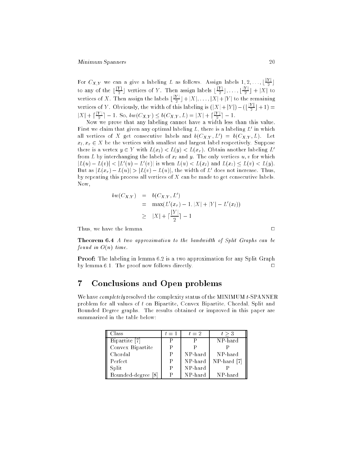For  $C_{XY}$  we can a give a labeling L as follows. Assign labels  $1, 2, \ldots, \lfloor \frac{p-1}{2} \rfloor$ to any of the [<del>북]</del>  $\frac{1}{2}$  vertices of Y. Then assign labels  $\lfloor \frac{p-1}{2} \rfloor$  $\frac{1}{2}$  ,  $\dots$  ,  $\lfloor \frac{r-1}{2} \rfloor$  $2 + 1 + 1 = 0$ vertices of X. Then assign the labels  $\frac{1+\lambda}{2}$  +  $\frac{1}{X}$ ,  $\dots$ ,  $\frac{1}{X}$  +  $\frac{1}{Y}$  to the remaining  $$ vertices of Y. Obviously, the width of this labeling is  $(|X|+|Y|)-(|\frac{1-\epsilon}{2}|)$  $2 \cdot 1$   $-7$  $|X| + |\frac{1-\epsilon}{2}| - 1$ . So,  $bw(C_{X,Y}) \leq b(C_{X,Y}, L) = |X| + |\frac{1-\epsilon}{2}| - 1$ .

Now we prove that any labeling cannot have a width less than this value. First we claim that given any optimal labeling  $L$ , there is a labeling  $L$  -in which all vertices of  $X$  get consecutive labels and  $\theta(C X, Y, L) = \theta(C X, Y, L)$ . Let  $x_l, x_r \in X$  be the vertices with smallest and largest label respectively. Suppose there is a vertex  $y \in Y$  with  $L(x_i) < L(y) < L(x_i)$ . Obtain another labeling L' from L by interchanging the labels of  $x_l$  and y. The only vertices  $u, v$  for which  $|L(u) - L(v)| \leq |L(u) - L(v)|$  is when  $L(u) \leq L(x_l)$  and  $L(x_l) \leq L(v) \leq L(y)$ . But as  $|L(x_r) - L(u)| > |L(v) - L(u)|$ , the width of L does not increase. Thus, by repeating this process all vertices of  $X$  can be made to get consecutive labels. Now,

$$
bw(C_{X,Y}) = b(C_{X,Y}, L')
$$
  
= max $(L'(x_r) - 1, |X| + |Y| - L'(x_l))$   
 $\geq |X| + \lceil \frac{|Y|}{2} \rceil - 1$ 

Thus, we have the lemma.

Theorem 6.4 A two approximation to the bandwidth of Split Graphs can be found in  $O(n)$  time.

Proof: The labeling in lemma 6.2 is a two approximation for any Split Graph by lemma 6.1. The proof now follows directly.  $\Box$ 

# 7 Conclusions and Open problems

We have *completely* resolved the complexity status of the MINIMUM t-SPANNER problem for all values of t on Bipartite, Convex Bipartite, Chordal, Split and Bounded Degree graphs. The results obtained or improved in this paper are summarized in the table below:

| Class              | $t=1$ | $t=2$   | t > 3       |
|--------------------|-------|---------|-------------|
| Bipartite [7]      | D     |         | NP-hard     |
| Convex Bipartite   |       |         |             |
| Chordal            | Ρ     | NP-hard | NP-hard     |
| Perfect            | P     | NP-hard | NP-hard [7] |
| Split              | P     | NP-hard |             |
| Bounded-degree [8] |       | NP-hard | NP-hard     |

 $\Box$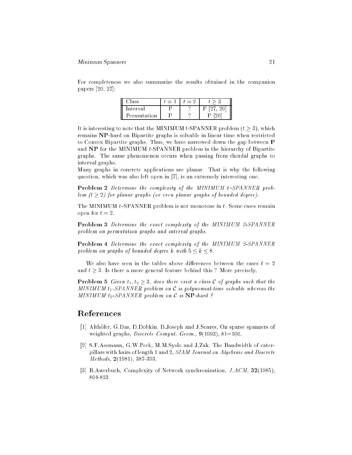#### Minimum Spanners 21

For completeness we also summarize the results obtained in the companion papers [20, 27]:

| ass         | $=$ $\overline{ }$ |  |
|-------------|--------------------|--|
| Interval    |                    |  |
| Permutation |                    |  |

It is interesting to note that the MINIMUM t-SPANNER problem  $(t \geq 3)$ , which remains NP-hard on Bipartite graphs is solvable in linear time when restricted to Convex Bipartite graphs. Thus, we have narrowed down the gap between P and NP for the MINIMUM t-SPANNER problem in the hierarchy of Bipartite graphs. The same phenomenon occurs when passing from chordal graphs to interval graphs.

Many graphs in concrete applications are planar. That is why the following question, which was also left open in [7], is an extremely interesting one.

**Problem 2** Determine the complexity of the MINIMUM  $t$ -SPANNER problem  $(t > 2)$  for planar graphs (or even planar graphs of bounded degree).

The MINIMUM  $t$ -SPANNER problem is not monotone in  $t$ . Some cases remain open for  $t = 2$ .

Problem 3 Determine the exact complexity of the MINIMUM 2-SPANNER problem on permutation graphs and interval graphs.

Problem 4 Determine the exact complexity of the MINIMUM 2-SPANNER problem on graphs of bounded degree k with  $5 \leq k \leq 8$ .

We also have seen in the tables above differences between the cases  $t = 2$ and  $t > 3$ . Is there a more general feature behind this ? More precisely,

**Problem 5** Given  $t_1, t_2 \geq 3$ , does there exist a class C of graphs such that the MINIMUM  $t_1$ -SPANNER problem on C is polynomial-time solvable whereas the MINIMUM  $t_2$ -SPANNER problem on C is  $NP$ -hard ?

# References

- [1] Althofer, G.Das, D.Dobkin, D.Joseph and J.Soares, On sparse spanners of weighted graphs, *Discrete Comput. Geom.*,  $9(1993)$ ,  $81=100$ .
- [2] S.F.Assmann, G.W.Peck, M.M.Syslo and J.Zak, The Bandwidth of caterpillars with hairs of length 1 and 2, SIAM Journal on Algebraic and Discrete Methods, 2(1981), 387-393.
- [3] B.Awerbuch, Complexity of Network synchronization, J.ACM, 32(1985), 804-823.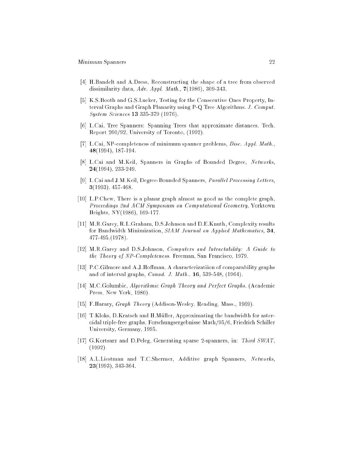- [4] H.Bandelt and A.Dress, Reconstructing the shape of a tree from observed dissimilarity data,  $Adv.$  Appl. Math.,  $7(1986)$ , 309-343.
- [5] K.S.Booth and G.S.Lueker, Testing for the Consecutive Ones Property, Interval Graphs and Graph Planarity using P-Q Tree Algorithms. J. Comput. System Sciences 13 335-379 (1976).
- [6] L.Cai, Tree Spanners: Spanning Trees that approximate distances. Tech. Report 260/92, University of Toronto, (1992).
- [7] L.Cai, NP-completeness of minimum spanner problems, Disc. Appl. Math., 48(1994), 187-194.
- [8] L.Cai and M.Keil, Spanners in Graphs of Bounded Degree, Networks, 24(1994), 233-249.
- [9] L.Cai and J.M.Keil, Degree-Bounded Spanners, Parallel Processing Letters, 3(1993), 457-468.
- [10] L.P.Chew, There is a planar graph almost as good as the complete graph, Proceedings 2nd ACM Symposium on Computational Geometry, Yorktown Heights, NY(1986), 169-177.
- [11] M.R.Garey, R.L.Graham, D.S.Johnson and D.E.Knuth, Complexity results for Bandwidth Minimization, SIAM Journal on Applied Mathematics, 34, 477-495,(1978).
- [12] M.R.Garey and D.S.Johnson, Computers and Intractability: A Guide to the Theory of NP-Completeness. Freeman, San Francisco, 1979.
- [13] P.C.Gilmore and A.J.Hoffman, A characterizatiion of comparability graphs and of interval graphs, Canad. J. Math., 16, 539-548, (1964).
- [14] M.C.Golumbic, Algorithmic Graph Theory and Perfect Graphs. (Academic Press, New York, 1980).
- [15] F.Harary, Graph Theory (Addison-Wesley, Reading, Mass., 1969).
- [16] T.Kloks, D.Kratsch and H.Müller, Approximating the bandwidth for asteroidal triple-free graphs, Forschungsergebnisse Math/95/6, Friedrich Schiller University, Germany, 1995.
- [17] G.Kortsarz and D.Peleg, Generating sparse 2-spanners, in: Third SWAT, (1992).
- [18] A.L.Liestman and T.C.Shermer, Additive graph Spanners, Networks, 23(1993), 343-364.